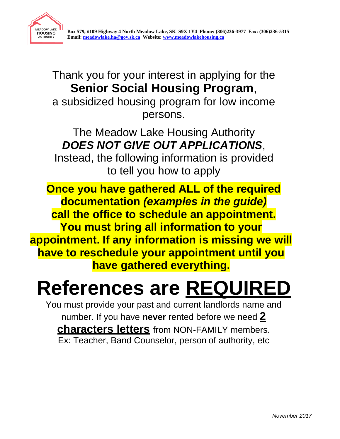

Thank you for your interest in applying for the **Senior Social Housing Program**, a subsidized housing program for low income persons.

The Meadow Lake Housing Authority *DOES NOT GIVE OUT APPLICATIONS*,

Instead, the following information is provided to tell you how to apply

**Once you have gathered ALL of the required documentation** *(examples in the guide)*  **call the office to schedule an appointment. You must bring all information to your appointment. If any information is missing we will have to reschedule your appointment until you have gathered everything.**

# **References are REQUIRED**

You must provide your past and current landlords name and number. If you have **never** rented before we need **2 characters letters** from NON-FAMILY members. Ex: Teacher, Band Counselor, person of authority, etc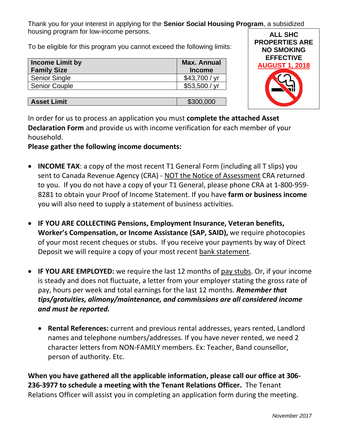Thank you for your interest in applying for the **Senior Social Housing Program**, a subsidized housing program for low-income persons.

To be eligible for this program you cannot exceed the following limits:

| <b>Income Limit by</b><br><b>Family Size</b> | <b>Max. Annual</b><br><b>Income</b> |
|----------------------------------------------|-------------------------------------|
| <b>Senior Single</b>                         | \$43,700 / yr                       |
| <b>Senior Couple</b>                         | \$53,500 / yr                       |
|                                              |                                     |
| <b>Asset Limit</b>                           | \$300,000                           |



In order for us to process an application you must **complete the attached Asset Declaration Form** and provide us with income verification for each member of your household.

**Please gather the following income documents:**

- **INCOME TAX**: a copy of the most recent T1 General Form (including all T slips) you sent to Canada Revenue Agency (CRA) - NOT the Notice of Assessment CRA returned to you. If you do not have a copy of your T1 General, please phone CRA at 1-800-959- 8281 to obtain your Proof of Income Statement. If you have **farm or business income** you will also need to supply a statement of business activities.
- **IF YOU ARE COLLECTING Pensions, Employment Insurance, Veteran benefits, Worker's Compensation, or Income Assistance (SAP, SAID),** we require photocopies of your most recent cheques or stubs. If you receive your payments by way of Direct Deposit we will require a copy of your most recent bank statement.
- **IF YOU ARE EMPLOYED:** we require the last 12 months of pay stubs. Or, if your income is steady and does not fluctuate, a letter from your employer stating the gross rate of pay, hours per week and total earnings for the last 12 months. *Remember that tips/gratuities, alimony/maintenance, and commissions are all considered income and must be reported.*
	- **Rental References:** current and previous rental addresses, years rented, Landlord names and telephone numbers/addresses. If you have never rented, we need 2 character letters from NON-FAMILY members. Ex: Teacher, Band counsellor, person of authority. Etc.

**When you have gathered all the applicable information, please call our office at 306- 236-3977 to schedule a meeting with the Tenant Relations Officer.** The Tenant Relations Officer will assist you in completing an application form during the meeting.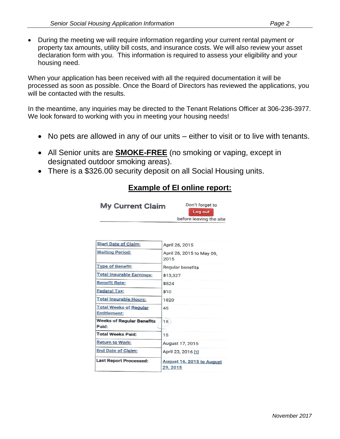• During the meeting we will require information regarding your current rental payment or property tax amounts, utility bill costs, and insurance costs. We will also review your asset declaration form with you. This information is required to assess your eligibility and your housing need.

When your application has been received with all the required documentation it will be processed as soon as possible. Once the Board of Directors has reviewed the applications, you will be contacted with the results.

In the meantime, any inquiries may be directed to the Tenant Relations Officer at 306-236-3977. We look forward to working with you in meeting your housing needs!

- No pets are allowed in any of our units either to visit or to live with tenants.
- All Senior units are **SMOKE-FREE** (no smoking or vaping, except in designated outdoor smoking areas).
- There is a \$326.00 security deposit on all Social Housing units.

#### **Example of EI online report:**

| <b>My Current Claim</b>     | Don't forget to<br>Log out |
|-----------------------------|----------------------------|
|                             | before leaving the site    |
| <b>Start Date of Claim:</b> | April 26, 2015             |
| $M \sim 14$                 | $\cdots$                   |

| $\sim$                                        | APHI ZO, ZU I J                       |  |  |
|-----------------------------------------------|---------------------------------------|--|--|
| <b>Waiting Period:</b>                        | April 26, 2015 to May 09,<br>2015     |  |  |
| <b>Type of Benefit:</b>                       | Regular benefits                      |  |  |
| <b>Total Insurable Earnings:</b>              | \$13,327                              |  |  |
| <b>Benefit Rate:</b>                          | \$524                                 |  |  |
| Federal Tax:                                  | \$10                                  |  |  |
| <b>Total Insurable Hours:</b>                 | 1820                                  |  |  |
| <b>Total Weeks of Regular</b><br>Entitlement: | 45                                    |  |  |
| <b>Weeks of Regular Benefits</b><br>Paid:     | 15                                    |  |  |
| <b>Total Weeks Paid:</b>                      | 15                                    |  |  |
| Return to Work:                               | August 17, 2015                       |  |  |
| End Date of Claim:                            | April 23, 2016 [1]                    |  |  |
| <b>Last Report Processed:</b>                 | August 16, 2015 to August<br>29, 2015 |  |  |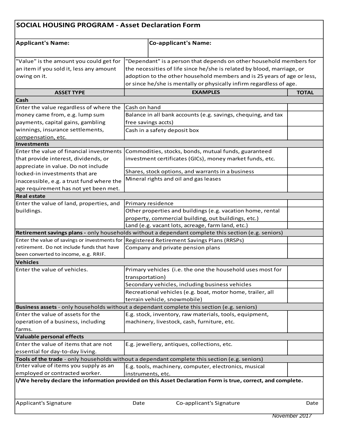| <b>SOCIAL HOUSING PROGRAM - Asset Declaration Form</b>                |                                                                                                             |              |
|-----------------------------------------------------------------------|-------------------------------------------------------------------------------------------------------------|--------------|
| <b>Applicant's Name:</b>                                              | <b>Co-applicant's Name:</b>                                                                                 |              |
| "Value" is the amount you could get for                               | "Dependant" is a person that depends on other household members for                                         |              |
| an item if you sold it, less any amount                               | the necessities of life since he/she is related by blood, marriage, or                                      |              |
| owing on it.                                                          | adoption to the other household members and is 25 years of age or less,                                     |              |
|                                                                       | or since he/she is mentally or physically infirm regardless of age.                                         |              |
| <b>ASSET TYPE</b>                                                     | <b>EXAMPLES</b>                                                                                             | <b>TOTAL</b> |
| <b>Cash</b>                                                           |                                                                                                             |              |
| Enter the value regardless of where the                               | Cash on hand                                                                                                |              |
| money came from, e.g. lump sum                                        | Balance in all bank accounts (e.g. savings, chequing, and tax                                               |              |
|                                                                       | free savings accts)                                                                                         |              |
| payments, capital gains, gambling<br>winnings, insurance settlements, |                                                                                                             |              |
|                                                                       | Cash in a safety deposit box                                                                                |              |
| compensation, etc.<br><b>Investments</b>                              |                                                                                                             |              |
| Enter the value of financial investments                              | Commodities, stocks, bonds, mutual funds, guaranteed                                                        |              |
| that provide interest, dividends, or                                  | investment certificates (GICs), money market funds, etc.                                                    |              |
| appreciate in value. Do not include                                   |                                                                                                             |              |
|                                                                       | Shares, stock options, and warrants in a business                                                           |              |
| locked-in investments that are                                        | Mineral rights and oil and gas leases                                                                       |              |
| inaccessible, e.g. a trust fund where the                             |                                                                                                             |              |
| age requirement has not yet been met.                                 |                                                                                                             |              |
| <b>Real estate</b>                                                    |                                                                                                             |              |
| Enter the value of land, properties, and                              | Primary residence                                                                                           |              |
| buildings.                                                            | Other properties and buildings (e.g. vacation home, rental                                                  |              |
|                                                                       | property, commercial building, out buildings, etc.)                                                         |              |
|                                                                       | Land (e.g. vacant lots, acreage, farm land, etc.)                                                           |              |
|                                                                       | Retirement savings plans - only households without a dependant complete this section (e.g. seniors)         |              |
| Enter the value of savings or investments for                         | Registered Retirement Savings Plans (RRSPs)                                                                 |              |
| retirement. Do not include funds that have                            | Company and private pension plans                                                                           |              |
| been converted to income, e.g. RRIF.                                  |                                                                                                             |              |
| Vehicles                                                              |                                                                                                             |              |
| Enter the value of vehicles.                                          | Primary vehicles (i.e. the one the household uses most for<br>transportation)                               |              |
|                                                                       | Secondary vehicles, including business vehicles                                                             |              |
|                                                                       | Recreational vehicles (e.g. boat, motor home, trailer, all                                                  |              |
|                                                                       | terrain vehicle, snowmobile)                                                                                |              |
|                                                                       | Business assets - only households without a dependant complete this section (e.g. seniors)                  |              |
| Enter the value of assets for the                                     | E.g. stock, inventory, raw materials, tools, equipment,                                                     |              |
| operation of a business, including                                    | machinery, livestock, cash, furniture, etc.                                                                 |              |
| farms.                                                                |                                                                                                             |              |
| Valuable personal effects                                             |                                                                                                             |              |
| Enter the value of items that are not                                 | E.g. jewellery, antiques, collections, etc.                                                                 |              |
| essential for day-to-day living.                                      |                                                                                                             |              |
|                                                                       | Tools of the trade - only households without a dependant complete this section (e.g. seniors)               |              |
| Enter value of items you supply as an                                 | E.g. tools, machinery, computer, electronics, musical                                                       |              |
| employed or contracted worker.                                        | instruments, etc.                                                                                           |              |
|                                                                       | I/We hereby declare the information provided on this Asset Declaration Form is true, correct, and complete. |              |
| Applicant's Signature                                                 | Co-applicant's Signature<br>Date                                                                            | Date         |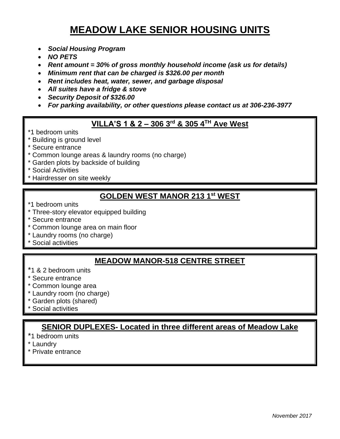## **MEADOW LAKE SENIOR HOUSING UNITS**

- *Social Housing Program*
- *NO PETS*
- *Rent amount = 30% of gross monthly household income (ask us for details)*
- *Minimum rent that can be charged is \$326.00 per month*
- *Rent includes heat, water, sewer, and garbage disposal*
- *All suites have a fridge & stove*
- *Security Deposit of \$326.00*
- *For parking availability, or other questions please contact us at 306-236-3977*

#### **VILLA'S 1 & 2 – 306 3rd & 305 4 TH Ave West**

- \*1 bedroom units
- \* Building is ground level
- \* Secure entrance
- \* Common lounge areas & laundry rooms (no charge)
- \* Garden plots by backside of building
- Social Activities
- Hairdresser on site weekly

### **GOLDEN WEST MANOR 213 1 st WEST**

- \*1 bedroom units
- \* Three-story elevator equipped building
- \* Secure entrance
- \* Common lounge area on main floor
- \* Laundry rooms (no charge)
- Social activities

#### **MEADOW MANOR-518 CENTRE STREET**

- \*1 & 2 bedroom units
- \* Secure entrance
- \* Common lounge area
- \* Laundry room (no charge)
- \* Garden plots (shared)
- Social activities

### **SENIOR DUPLEXES- Located in three different areas of Meadow Lake**

- \*1 bedroom units
- \* Laundry
- \* Private entrance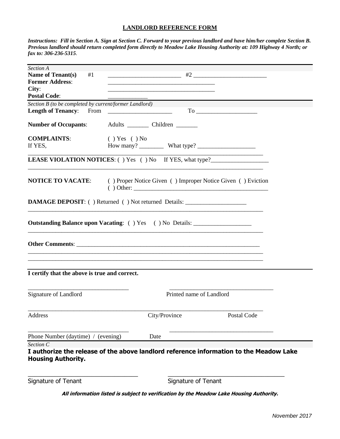#### **LANDLORD REFERENCE FORM**

*Instructions: Fill in Section A. Sign at Section C. Forward to your previous landlord and have him/her complete Section B. Previous landlord should return completed form directly to Meadow Lake Housing Authority at: 109 Highway 4 North; or fax to: 306-236-5315*.

| Section A<br><b>Name of Tenant(s)</b>                  | #1                 |                                                                                         |                                                                                         |  |
|--------------------------------------------------------|--------------------|-----------------------------------------------------------------------------------------|-----------------------------------------------------------------------------------------|--|
| <b>Former Address:</b>                                 |                    |                                                                                         |                                                                                         |  |
| City:<br><b>Postal Code:</b>                           |                    |                                                                                         |                                                                                         |  |
| Section B (to be completed by current/former Landlord) |                    |                                                                                         |                                                                                         |  |
| <b>Length of Tenancy:</b>                              | From               |                                                                                         |                                                                                         |  |
| <b>Number of Occupants:</b>                            |                    | Adults ____________ Children _________                                                  |                                                                                         |  |
| <b>COMPLAINTS:</b>                                     | $( )$ Yes $( )$ No |                                                                                         |                                                                                         |  |
| If YES,                                                |                    |                                                                                         |                                                                                         |  |
|                                                        |                    |                                                                                         | <b>LEASE VIOLATION NOTICES:</b> () Yes () No If YES, what type?                         |  |
|                                                        |                    |                                                                                         | <b>NOTICE TO VACATE:</b> ( ) Proper Notice Given ( ) Improper Notice Given ( ) Eviction |  |
|                                                        |                    | <b>DAMAGE DEPOSIT:</b> () Returned () Not returned Details:                             |                                                                                         |  |
|                                                        |                    | <b>Outstanding Balance upon Vacating:</b> () Yes () No Details: _______________________ |                                                                                         |  |
|                                                        |                    | <u> 1989 - Jan Barnett, fransk politik (d. 1989)</u>                                    |                                                                                         |  |
| I certify that the above is true and correct.          |                    |                                                                                         |                                                                                         |  |
| Signature of Landlord                                  |                    |                                                                                         | Printed name of Landlord                                                                |  |
| Address                                                |                    | City/Province                                                                           | Postal Code                                                                             |  |
| Phone Number (daytime) / (evening)                     |                    | Date                                                                                    |                                                                                         |  |
| Section C                                              |                    |                                                                                         |                                                                                         |  |
| <b>Housing Authority.</b>                              |                    |                                                                                         | I authorize the release of the above landlord reference information to the Meadow Lake  |  |
| Signature of Tenant                                    |                    | Signature of Tenant                                                                     |                                                                                         |  |

**All information listed is subject to verification by the Meadow Lake Housing Authority.**